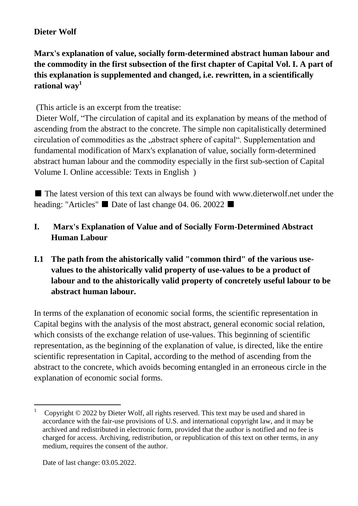## **Dieter Wolf**

**Marx's explanation of value, socially form-determined abstract human labour and the commodity in the first subsection of the first chapter of Capital Vol. I. A part of this explanation is supplemented and changed, i.e. rewritten, in a scientifically rational way<sup>1</sup>**

(This article is an excerpt from the treatise:

Dieter Wolf, "The circulation of capital and its explanation by means of the method of ascending from the abstract to the concrete. The simple non capitalistically determined circulation of commodities as the "abstract sphere of capital". Supplementation and fundamental modification of Marx's explanation of value, socially form-determined abstract human labour and the commodity especially in the first sub-section of Capital Volume I. Online accessible: Texts in English )

■ The latest version of this text can always be found with www.dieterwolf.net under the heading: "Articles" ■ Date of last change 04. 06. 20022 ■

# **I. Marx's Explanation of Value and of Socially Form-Determined Abstract Human Labour**

**I.1 The path from the ahistorically valid "common third" of the various usevalues to the ahistorically valid property of use-values to be a product of labour and to the ahistorically valid property of concretely useful labour to be abstract human labour.**

In terms of the explanation of economic social forms, the scientific representation in Capital begins with the analysis of the most abstract, general economic social relation, which consists of the exchange relation of use-values. This beginning of scientific representation, as the beginning of the explanation of value, is directed, like the entire scientific representation in Capital, according to the method of ascending from the abstract to the concrete, which avoids becoming entangled in an erroneous circle in the explanation of economic social forms.

<sup>1</sup> Copyright © 2022 by Dieter Wolf, all rights reserved. This text may be used and shared in accordance with the fair-use provisions of U.S. and international copyright law, and it may be archived and redistributed in electronic form, provided that the author is notified and no fee is charged for access. Archiving, redistribution, or republication of this text on other terms, in any medium, requires the consent of the author.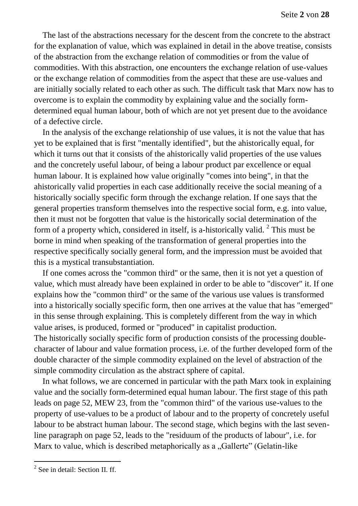The last of the abstractions necessary for the descent from the concrete to the abstract for the explanation of value, which was explained in detail in the above treatise, consists of the abstraction from the exchange relation of commodities or from the value of commodities. With this abstraction, one encounters the exchange relation of use-values or the exchange relation of commodities from the aspect that these are use-values and are initially socially related to each other as such. The difficult task that Marx now has to overcome is to explain the commodity by explaining value and the socially formdetermined equal human labour, both of which are not yet present due to the avoidance of a defective circle.

In the analysis of the exchange relationship of use values, it is not the value that has yet to be explained that is first "mentally identified", but the ahistorically equal, for which it turns out that it consists of the ahistorically valid properties of the use values and the concretely useful labour, of being a labour product par excellence or equal human labour. It is explained how value originally "comes into being", in that the ahistorically valid properties in each case additionally receive the social meaning of a historically socially specific form through the exchange relation. If one says that the general properties transform themselves into the respective social form, e.g. into value, then it must not be forgotten that value is the historically social determination of the form of a property which, considered in itself, is a-historically valid.<sup>2</sup> This must be borne in mind when speaking of the transformation of general properties into the respective specifically socially general form, and the impression must be avoided that this is a mystical transubstantiation.

If one comes across the "common third" or the same, then it is not yet a question of value, which must already have been explained in order to be able to "discover" it. If one explains how the "common third" or the same of the various use values is transformed into a historically socially specific form, then one arrives at the value that has "emerged" in this sense through explaining. This is completely different from the way in which value arises, is produced, formed or "produced" in capitalist production. The historically socially specific form of production consists of the processing doublecharacter of labour and value formation process, i.e. of the further developed form of the double character of the simple commodity explained on the level of abstraction of the simple commodity circulation as the abstract sphere of capital.

In what follows, we are concerned in particular with the path Marx took in explaining value and the socially form-determined equal human labour. The first stage of this path leads on page 52, MEW 23, from the "common third" of the various use-values to the property of use-values to be a product of labour and to the property of concretely useful labour to be abstract human labour. The second stage, which begins with the last sevenline paragraph on page 52, leads to the "residuum of the products of labour", i.e. for Marx to value, which is described metaphorically as a "Gallerte" (Gelatin-like

<sup>&</sup>lt;sup>2</sup> See in detail: Section II. ff.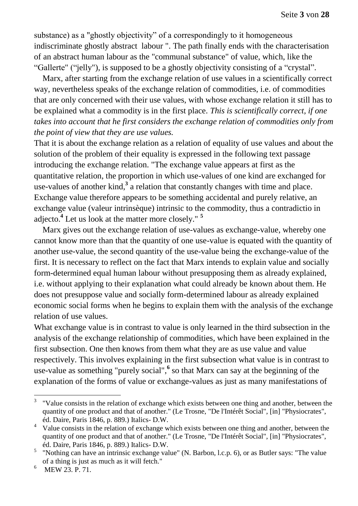substance) as a "ghostly objectivity" of a correspondingly to it homogeneous indiscriminate ghostly abstract labour ". The path finally ends with the characterisation of an abstract human labour as the "communal substance" of value, which, like the "Gallerte" ("jelly"), is supposed to be a ghostly objectivity consisting of a "crystal".

Marx, after starting from the exchange relation of use values in a scientifically correct way, nevertheless speaks of the exchange relation of commodities, i.e. of commodities that are only concerned with their use values, with whose exchange relation it still has to be explained what a commodity is in the first place. *This is scientifically correct, if one takes into account that he first considers the exchange relation of commodities only from the point of view that they are use values.*

That it is about the exchange relation as a relation of equality of use values and about the solution of the problem of their equality is expressed in the following text passage introducing the exchange relation. "The exchange value appears at first as the quantitative relation, the proportion in which use-values of one kind are exchanged for use-values of another kind,**<sup>3</sup>** a relation that constantly changes with time and place. Exchange value therefore appears to be something accidental and purely relative, an exchange value (valeur intrinsèque) intrinsic to the commodity, thus a contradictio in adjecto.**<sup>4</sup>** Let us look at the matter more closely." **<sup>5</sup>**

Marx gives out the exchange relation of use-values as exchange-value, whereby one cannot know more than that the quantity of one use-value is equated with the quantity of another use-value, the second quantity of the use-value being the exchange-value of the first. It is necessary to reflect on the fact that Marx intends to explain value and socially form-determined equal human labour without presupposing them as already explained, i.e. without applying to their explanation what could already be known about them. He does not presuppose value and socially form-determined labour as already explained economic social forms when he begins to explain them with the analysis of the exchange relation of use values.

What exchange value is in contrast to value is only learned in the third subsection in the analysis of the exchange relationship of commodities, which have been explained in the first subsection. One then knows from them what they are as use value and value respectively. This involves explaining in the first subsection what value is in contrast to use-value as something "purely social",**<sup>6</sup>** so that Marx can say at the beginning of the explanation of the forms of value or exchange-values as just as many manifestations of

<sup>&</sup>lt;sup>3</sup> "Value consists in the relation of exchange which exists between one thing and another, between the quantity of one product and that of another." (Le Trosne, "De l'Intérêt Social", [in] "Physiocrates", éd. Daire, Paris 1846, p. 889.) Italics- D.W.

<sup>&</sup>lt;sup>4</sup> Value consists in the relation of exchange which exists between one thing and another, between the quantity of one product and that of another." (Le Trosne, "De l'Intérêt Social", [in] "Physiocrates", éd. Daire, Paris 1846, p. 889.) Italics- D.W.

<sup>&</sup>lt;sup>5</sup> "Nothing can have an intrinsic exchange value" (N. Barbon, l.c.p. 6), or as Butler says: "The value of a thing is just as much as it will fetch."

<sup>&</sup>lt;sup>6</sup> MEW 23. P. 71.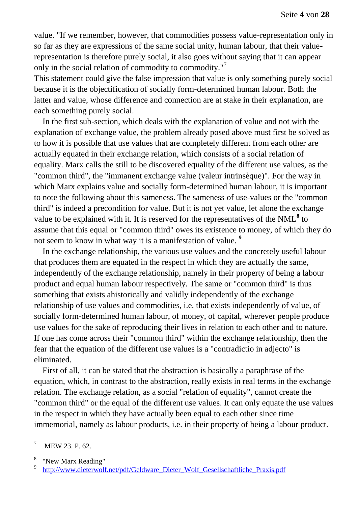value. "If we remember, however, that commodities possess value-representation only in so far as they are expressions of the same social unity, human labour, that their valuerepresentation is therefore purely social, it also goes without saying that it can appear only in the social relation of commodity to commodity."<sup>7</sup>

This statement could give the false impression that value is only something purely social because it is the objectification of socially form-determined human labour. Both the latter and value, whose difference and connection are at stake in their explanation, are each something purely social.

In the first sub-section, which deals with the explanation of value and not with the explanation of exchange value, the problem already posed above must first be solved as to how it is possible that use values that are completely different from each other are actually equated in their exchange relation, which consists of a social relation of equality. Marx calls the still to be discovered equality of the different use values, as the "common third", the "immanent exchange value (valeur intrinsèque)". For the way in which Marx explains value and socially form-determined human labour, it is important to note the following about this sameness. The sameness of use-values or the "common third" is indeed a precondition for value. But it is not yet value, let alone the exchange value to be explained with it. It is reserved for the representatives of the NML<sup>8</sup> to assume that this equal or "common third" owes its existence to money, of which they do not seem to know in what way it is a manifestation of value. **<sup>9</sup>**

In the exchange relationship, the various use values and the concretely useful labour that produces them are equated in the respect in which they are actually the same, independently of the exchange relationship, namely in their property of being a labour product and equal human labour respectively. The same or "common third" is thus something that exists ahistorically and validly independently of the exchange relationship of use values and commodities, i.e. that exists independently of value, of socially form-determined human labour, of money, of capital, wherever people produce use values for the sake of reproducing their lives in relation to each other and to nature. If one has come across their "common third" within the exchange relationship, then the fear that the equation of the different use values is a "contradictio in adjecto" is eliminated.

First of all, it can be stated that the abstraction is basically a paraphrase of the equation, which, in contrast to the abstraction, really exists in real terms in the exchange relation. The exchange relation, as a social "relation of equality", cannot create the "common third" or the equal of the different use values. It can only equate the use values in the respect in which they have actually been equal to each other since time immemorial, namely as labour products, i.e. in their property of being a labour product.

 $\boldsymbol{7}$ MEW 23. P. 62.

<sup>8</sup> "New Marx Reading"

<sup>9</sup> [http://www.dieterwolf.net/pdf/Geldware\\_Dieter\\_Wolf\\_Gesellschaftliche\\_Praxis.pdf](http://www.dieterwolf.net/pdf/Geldware_Dieter_Wolf_Gesellschaftliche_Praxis.pdf)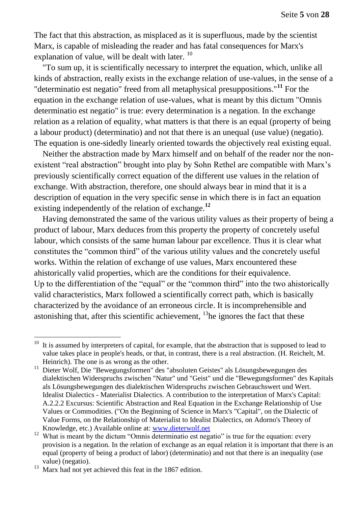The fact that this abstraction, as misplaced as it is superfluous, made by the scientist Marx, is capable of misleading the reader and has fatal consequences for Marx's explanation of value, will be dealt with later.  $^{10}$ 

"To sum up, it is scientifically necessary to interpret the equation, which, unlike all kinds of abstraction, really exists in the exchange relation of use-values, in the sense of a "determinatio est negatio" freed from all metaphysical presuppositions."**<sup>11</sup>** For the equation in the exchange relation of use-values, what is meant by this dictum "Omnis determinatio est negatio" is true: every determination is a negation. In the exchange relation as a relation of equality, what matters is that there is an equal (property of being a labour product) (determinatio) and not that there is an unequal (use value) (negatio). The equation is one-sidedly linearly oriented towards the objectively real existing equal.

Neither the abstraction made by Marx himself and on behalf of the reader nor the nonexistent "real abstraction" brought into play by Sohn Rethel are compatible with Marx's previously scientifically correct equation of the different use values in the relation of exchange. With abstraction, therefore, one should always bear in mind that it is a description of equation in the very specific sense in which there is in fact an equation existing independently of the relation of exchange.**<sup>12</sup>**

Having demonstrated the same of the various utility values as their property of being a product of labour, Marx deduces from this property the property of concretely useful labour, which consists of the same human labour par excellence. Thus it is clear what constitutes the "common third" of the various utility values and the concretely useful works. Within the relation of exchange of use values, Marx encountered these ahistorically valid properties, which are the conditions for their equivalence. Up to the differentiation of the "equal" or the "common third" into the two ahistorically valid characteristics, Marx followed a scientifically correct path, which is basically characterized by the avoidance of an erroneous circle. It is incomprehensible and astonishing that, after this scientific achievement, <sup>13</sup>he ignores the fact that these

 $10$  It is assumed by interpreters of capital, for example, that the abstraction that is supposed to lead to value takes place in people's heads, or that, in contrast, there is a real abstraction. (H. Reichelt, M. Heinrich). The one is as wrong as the other.

<sup>&</sup>lt;sup>11</sup> Dieter Wolf, Die "Bewegungsformen" des "absoluten Geistes" als Lösungsbewegungen des dialektischen Widerspruchs zwischen "Natur" und "Geist" und die "Bewegungsformen" des Kapitals als Lösungsbewegungen des dialektischen Widerspruchs zwischen Gebrauchswert und Wert. Idealist Dialectics - Materialist Dialectics. A contribution to the interpretation of Marx's Capital: A.2.2.2 Excursus: Scientific Abstraction and Real Equation in the Exchange Relationship of Use Values or Commodities. ("On the Beginning of Science in Marx's "Capital", on the Dialectic of Value Forms, on the Relationship of Materialist to Idealist Dialectics, on Adorno's Theory of Knowledge, etc.) Available online at: [www.dieterwolf.net](http://www.dieterwolf.net/)

<sup>&</sup>lt;sup>12</sup> What is meant by the dictum "Omnis determinatio est negatio" is true for the equation: every provision is a negation. In the relation of exchange as an equal relation it is important that there is an equal (property of being a product of labor) (determinatio) and not that there is an inequality (use value) (negatio).

 $\frac{13}{13}$  Marx had not yet achieved this feat in the 1867 edition.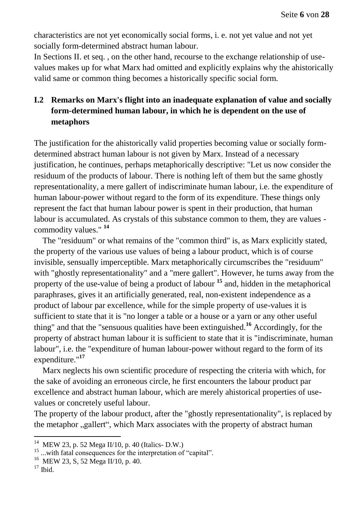characteristics are not yet economically social forms, i. e. not yet value and not yet socially form-determined abstract human labour.

In Sections II. et seq. , on the other hand, recourse to the exchange relationship of usevalues makes up for what Marx had omitted and explicitly explains why the ahistorically valid same or common thing becomes a historically specific social form.

# **I.2 Remarks on Marx's flight into an inadequate explanation of value and socially form-determined human labour, in which he is dependent on the use of metaphors**

The justification for the ahistorically valid properties becoming value or socially formdetermined abstract human labour is not given by Marx. Instead of a necessary justification, he continues, perhaps metaphorically descriptive: "Let us now consider the residuum of the products of labour. There is nothing left of them but the same ghostly representationality, a mere gallert of indiscriminate human labour, i.e. the expenditure of human labour-power without regard to the form of its expenditure. These things only represent the fact that human labour power is spent in their production, that human labour is accumulated. As crystals of this substance common to them, they are values commodity values." **<sup>14</sup>**

The "residuum" or what remains of the "common third" is, as Marx explicitly stated, the property of the various use values of being a labour product, which is of course invisible, sensually imperceptible. Marx metaphorically circumscribes the "residuum" with "ghostly representationality" and a "mere gallert". However, he turns away from the property of the use-value of being a product of labour **<sup>15</sup>** and, hidden in the metaphorical paraphrases, gives it an artificially generated, real, non-existent independence as a product of labour par excellence, while for the simple property of use-values it is sufficient to state that it is "no longer a table or a house or a yarn or any other useful thing" and that the "sensuous qualities have been extinguished.**<sup>16</sup>** Accordingly, for the property of abstract human labour it is sufficient to state that it is "indiscriminate, human labour", i.e. the "expenditure of human labour-power without regard to the form of its expenditure."**<sup>17</sup>** 

Marx neglects his own scientific procedure of respecting the criteria with which, for the sake of avoiding an erroneous circle, he first encounters the labour product par excellence and abstract human labour, which are merely ahistorical properties of usevalues or concretely useful labour.

The property of the labour product, after the "ghostly representationality", is replaced by the metaphor ..gallert", which Marx associates with the property of abstract human

<sup>&</sup>lt;sup>14</sup> MEW 23, p. 52 Mega II/10, p. 40 (Italics- D.W.)

<sup>&</sup>lt;sup>15</sup> ...with fatal consequences for the interpretation of "capital".

<sup>16</sup> MEW 23, S, 52 Mega II/10, p. 40.

 $17$  Ibid.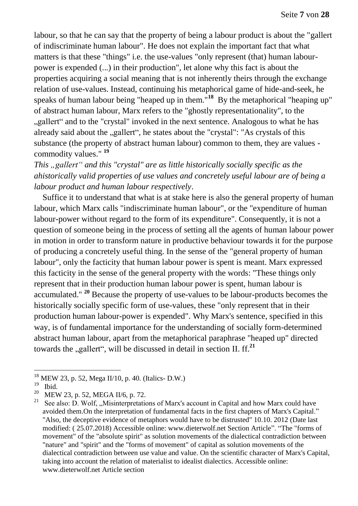labour, so that he can say that the property of being a labour product is about the "gallert of indiscriminate human labour". He does not explain the important fact that what matters is that these "things" i.e. the use-values "only represent (that) human labourpower is expended (...) in their production", let alone why this fact is about the properties acquiring a social meaning that is not inherently theirs through the exchange relation of use-values. Instead, continuing his metaphorical game of hide-and-seek, he speaks of human labour being "heaped up in them."**<sup>18</sup>** By the metaphorical "heaping up" of abstract human labour, Marx refers to the "ghostly representationality", to the ", gallert" and to the "crystal" invoked in the next sentence. Analogous to what he has already said about the "gallert", he states about the "crystal": "As crystals of this substance (the property of abstract human labour) common to them, they are values commodity values." **19** 

*This "gallert" and this "crystal" are as little historically socially specific as the ahistorically valid properties of use values and concretely useful labour are of being a labour product and human labour respectively*.

Suffice it to understand that what is at stake here is also the general property of human labour, which Marx calls "indiscriminate human labour", or the "expenditure of human labour-power without regard to the form of its expenditure". Consequently, it is not a question of someone being in the process of setting all the agents of human labour power in motion in order to transform nature in productive behaviour towards it for the purpose of producing a concretely useful thing. In the sense of the "general property of human labour", only the facticity that human labour power is spent is meant. Marx expressed this facticity in the sense of the general property with the words: "These things only represent that in their production human labour power is spent, human labour is accumulated." **<sup>20</sup>** Because the property of use-values to be labour-products becomes the historically socially specific form of use-values, these "only represent that in their production human labour-power is expended". Why Marx's sentence, specified in this way, is of fundamental importance for the understanding of socially form-determined abstract human labour, apart from the metaphorical paraphrase "heaped up" directed towards the "gallert", will be discussed in detail in section II. ff.<sup>21</sup>

<sup>18</sup> MEW 23, p. 52, Mega II/10, p. 40. (Italics- D.W.)

 $19$  Ibid.

<sup>20</sup> MEW 23, p. 52, MEGA II/6, p. 72.

<sup>&</sup>lt;sup>21</sup> See also: D. Wolf, "Misinterpretations of Marx's account in Capital and how Marx could have avoided them.On the interpretation of fundamental facts in the first chapters of Marx's Capital." "Also, the deceptive evidence of metaphors would have to be distrusted" 10.10. 2012 (Date last modified: ( 25.07.2018) Accessible online: www.dieterwolf.net Section Article". "The "forms of movement" of the "absolute spirit" as solution movements of the dialectical contradiction between "nature" and "spirit" and the "forms of movement" of capital as solution movements of the dialectical contradiction between use value and value. On the scientific character of Marx's Capital, taking into account the relation of materialist to idealist dialectics. Accessible online: www.dieterwolf.net Article section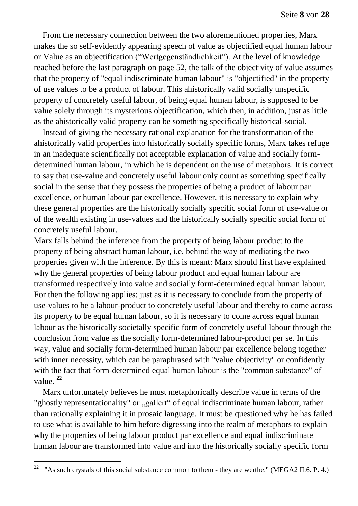From the necessary connection between the two aforementioned properties, Marx makes the so self-evidently appearing speech of value as objectified equal human labour or Value as an objectification ("Wertgegenständlichkeit"). At the level of knowledge reached before the last paragraph on page 52, the talk of the objectivity of value assumes that the property of "equal indiscriminate human labour" is "objectified" in the property of use values to be a product of labour. This ahistorically valid socially unspecific property of concretely useful labour, of being equal human labour, is supposed to be value solely through its mysterious objectification, which then, in addition, just as little as the ahistorically valid property can be something specifically historical-social.

Instead of giving the necessary rational explanation for the transformation of the ahistorically valid properties into historically socially specific forms, Marx takes refuge in an inadequate scientifically not acceptable explanation of value and socially formdetermined human labour, in which he is dependent on the use of metaphors. It is correct to say that use-value and concretely useful labour only count as something specifically social in the sense that they possess the properties of being a product of labour par excellence, or human labour par excellence. However, it is necessary to explain why these general properties are the historically socially specific social form of use-value or of the wealth existing in use-values and the historically socially specific social form of concretely useful labour.

Marx falls behind the inference from the property of being labour product to the property of being abstract human labour, i.e. behind the way of mediating the two properties given with the inference. By this is meant: Marx should first have explained why the general properties of being labour product and equal human labour are transformed respectively into value and socially form-determined equal human labour. For then the following applies: just as it is necessary to conclude from the property of use-values to be a labour-product to concretely useful labour and thereby to come across its property to be equal human labour, so it is necessary to come across equal human labour as the historically societally specific form of concretely useful labour through the conclusion from value as the socially form-determined labour-product per se. In this way, value and socially form-determined human labour par excellence belong together with inner necessity, which can be paraphrased with "value objectivity" or confidently with the fact that form-determined equal human labour is the "common substance" of value. **<sup>22</sup>**

Marx unfortunately believes he must metaphorically describe value in terms of the "ghostly representationality" or "gallert" of equal indiscriminate human labour, rather than rationally explaining it in prosaic language. It must be questioned why he has failed to use what is available to him before digressing into the realm of metaphors to explain why the properties of being labour product par excellence and equal indiscriminate human labour are transformed into value and into the historically socially specific form

<sup>&</sup>lt;sup>22</sup> "As such crystals of this social substance common to them - they are werthe." (MEGA2 II.6. P. 4.)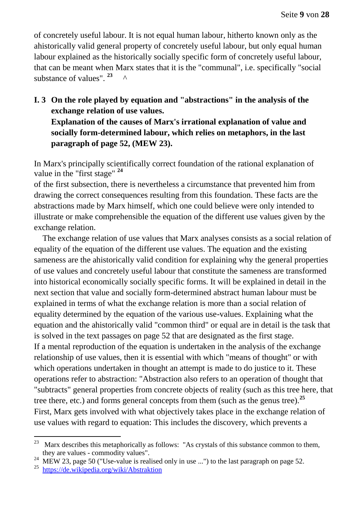of concretely useful labour. It is not equal human labour, hitherto known only as the ahistorically valid general property of concretely useful labour, but only equal human labour explained as the historically socially specific form of concretely useful labour, that can be meant when Marx states that it is the "communal", i.e. specifically "social substance of values". **<sup>23</sup>** ^

**I. 3 On the role played by equation and "abstractions" in the analysis of the exchange relation of use values. Explanation of the causes of Marx's irrational explanation of value and socially form-determined labour, which relies on metaphors, in the last paragraph of page 52, (MEW 23).** 

In Marx's principally scientifically correct foundation of the rational explanation of value in the "first stage" **<sup>24</sup>**

of the first subsection, there is nevertheless a circumstance that prevented him from drawing the correct consequences resulting from this foundation. These facts are the abstractions made by Marx himself, which one could believe were only intended to illustrate or make comprehensible the equation of the different use values given by the exchange relation.

The exchange relation of use values that Marx analyses consists as a social relation of equality of the equation of the different use values. The equation and the existing sameness are the ahistorically valid condition for explaining why the general properties of use values and concretely useful labour that constitute the sameness are transformed into historical economically socially specific forms. It will be explained in detail in the next section that value and socially form-determined abstract human labour must be explained in terms of what the exchange relation is more than a social relation of equality determined by the equation of the various use-values. Explaining what the equation and the ahistorically valid "common third" or equal are in detail is the task that is solved in the text passages on page 52 that are designated as the first stage. If a mental reproduction of the equation is undertaken in the analysis of the exchange relationship of use values, then it is essential with which "means of thought" or with which operations undertaken in thought an attempt is made to do justice to it. These operations refer to abstraction: "Abstraction also refers to an operation of thought that "subtracts" general properties from concrete objects of reality (such as this tree here, that tree there, etc.) and forms general concepts from them (such as the genus tree).**<sup>25</sup>** First, Marx gets involved with what objectively takes place in the exchange relation of use values with regard to equation: This includes the discovery, which prevents a

<sup>&</sup>lt;sup>23</sup> Marx describes this metaphorically as follows: "As crystals of this substance common to them, they are values - commodity values".

<sup>&</sup>lt;sup>24</sup> MEW 23, page 50 ("Use-value is realised only in use ...") to the last paragraph on page 52.

<sup>25</sup> <https://de.wikipedia.org/wiki/Abstraktion>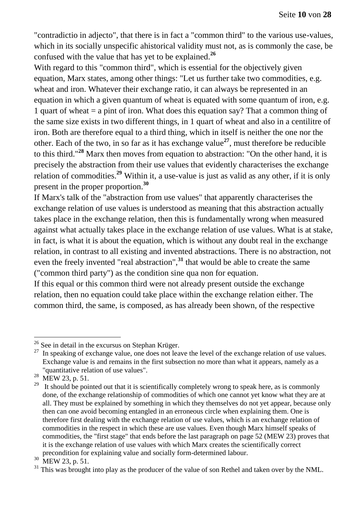"contradictio in adjecto", that there is in fact a "common third" to the various use-values, which in its socially unspecific ahistorical validity must not, as is commonly the case, be confused with the value that has yet to be explained.**<sup>26</sup>**

With regard to this "common third", which is essential for the objectively given equation, Marx states, among other things: "Let us further take two commodities, e.g. wheat and iron. Whatever their exchange ratio, it can always be represented in an equation in which a given quantum of wheat is equated with some quantum of iron, e.g. 1 quart of wheat  $=$  a pint of iron. What does this equation say? That a common thing of the same size exists in two different things, in 1 quart of wheat and also in a centilitre of iron. Both are therefore equal to a third thing, which in itself is neither the one nor the other. Each of the two, in so far as it has exchange value**<sup>27</sup>**, must therefore be reducible to this third."**<sup>28</sup>** Marx then moves from equation to abstraction: "On the other hand, it is precisely the abstraction from their use values that evidently characterises the exchange relation of commodities.**<sup>29</sup>** Within it, a use-value is just as valid as any other, if it is only present in the proper proportion.**<sup>30</sup>**

If Marx's talk of the "abstraction from use values" that apparently characterises the exchange relation of use values is understood as meaning that this abstraction actually takes place in the exchange relation, then this is fundamentally wrong when measured against what actually takes place in the exchange relation of use values. What is at stake, in fact, is what it is about the equation, which is without any doubt real in the exchange relation, in contrast to all existing and invented abstractions. There is no abstraction, not even the freely invented "real abstraction",**<sup>31</sup>** that would be able to create the same ("common third party") as the condition sine qua non for equation.

If this equal or this common third were not already present outside the exchange relation, then no equation could take place within the exchange relation either. The common third, the same, is composed, as has already been shown, of the respective

 $26$  See in detail in the excursus on Stephan Krüger.

 $27$  In speaking of exchange value, one does not leave the level of the exchange relation of use values. Exchange value is and remains in the first subsection no more than what it appears, namely as a "quantitative relation of use values".

<sup>&</sup>lt;sup>28</sup> MEW 23, p. 51.

 $29$  It should be pointed out that it is scientifically completely wrong to speak here, as is commonly done, of the exchange relationship of commodities of which one cannot yet know what they are at all. They must be explained by something in which they themselves do not yet appear, because only then can one avoid becoming entangled in an erroneous circle when explaining them. One is therefore first dealing with the exchange relation of use values, which is an exchange relation of commodities in the respect in which these are use values. Even though Marx himself speaks of commodities, the "first stage" that ends before the last paragraph on page 52 (MEW 23) proves that it is the exchange relation of use values with which Marx creates the scientifically correct precondition for explaining value and socially form-determined labour.

<sup>&</sup>lt;sup>30</sup> MEW 23, p. 51.

 $31$  This was brought into play as the producer of the value of son Rethel and taken over by the NML.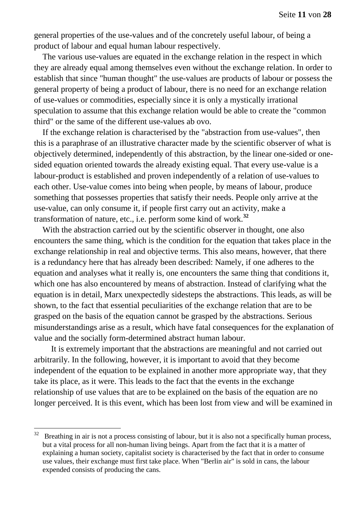general properties of the use-values and of the concretely useful labour, of being a product of labour and equal human labour respectively.

The various use-values are equated in the exchange relation in the respect in which they are already equal among themselves even without the exchange relation. In order to establish that since "human thought" the use-values are products of labour or possess the general property of being a product of labour, there is no need for an exchange relation of use-values or commodities, especially since it is only a mystically irrational speculation to assume that this exchange relation would be able to create the "common third" or the same of the different use-values ab ovo.

If the exchange relation is characterised by the "abstraction from use-values", then this is a paraphrase of an illustrative character made by the scientific observer of what is objectively determined, independently of this abstraction, by the linear one-sided or onesided equation oriented towards the already existing equal. That every use-value is a labour-product is established and proven independently of a relation of use-values to each other. Use-value comes into being when people, by means of labour, produce something that possesses properties that satisfy their needs. People only arrive at the use-value, can only consume it, if people first carry out an activity, make a transformation of nature, etc., i.e. perform some kind of work.**<sup>32</sup>**

With the abstraction carried out by the scientific observer in thought, one also encounters the same thing, which is the condition for the equation that takes place in the exchange relationship in real and objective terms. This also means, however, that there is a redundancy here that has already been described: Namely, if one adheres to the equation and analyses what it really is, one encounters the same thing that conditions it, which one has also encountered by means of abstraction. Instead of clarifying what the equation is in detail, Marx unexpectedly sidesteps the abstractions. This leads, as will be shown, to the fact that essential peculiarities of the exchange relation that are to be grasped on the basis of the equation cannot be grasped by the abstractions. Serious misunderstandings arise as a result, which have fatal consequences for the explanation of value and the socially form-determined abstract human labour.

It is extremely important that the abstractions are meaningful and not carried out arbitrarily. In the following, however, it is important to avoid that they become independent of the equation to be explained in another more appropriate way, that they take its place, as it were. This leads to the fact that the events in the exchange relationship of use values that are to be explained on the basis of the equation are no longer perceived. It is this event, which has been lost from view and will be examined in

 $32$  Breathing in air is not a process consisting of labour, but it is also not a specifically human process, but a vital process for all non-human living beings. Apart from the fact that it is a matter of explaining a human society, capitalist society is characterised by the fact that in order to consume use values, their exchange must first take place. When "Berlin air" is sold in cans, the labour expended consists of producing the cans.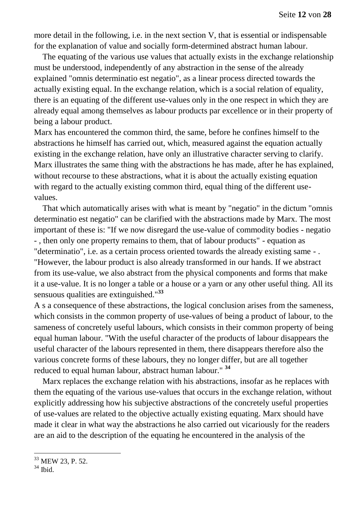more detail in the following, i.e. in the next section V, that is essential or indispensable for the explanation of value and socially form-determined abstract human labour.

The equating of the various use values that actually exists in the exchange relationship must be understood, independently of any abstraction in the sense of the already explained "omnis determinatio est negatio", as a linear process directed towards the actually existing equal. In the exchange relation, which is a social relation of equality, there is an equating of the different use-values only in the one respect in which they are already equal among themselves as labour products par excellence or in their property of being a labour product.

Marx has encountered the common third, the same, before he confines himself to the abstractions he himself has carried out, which, measured against the equation actually existing in the exchange relation, have only an illustrative character serving to clarify. Marx illustrates the same thing with the abstractions he has made, after he has explained, without recourse to these abstractions, what it is about the actually existing equation with regard to the actually existing common third, equal thing of the different usevalues.

That which automatically arises with what is meant by "negatio" in the dictum "omnis determinatio est negatio" can be clarified with the abstractions made by Marx. The most important of these is: "If we now disregard the use-value of commodity bodies - negatio - , then only one property remains to them, that of labour products" - equation as "determinatio", i.e. as a certain process oriented towards the already existing same - . "However, the labour product is also already transformed in our hands. If we abstract from its use-value, we also abstract from the physical components and forms that make it a use-value. It is no longer a table or a house or a yarn or any other useful thing. All its sensuous qualities are extinguished."**<sup>33</sup>**

A s a consequence of these abstractions, the logical conclusion arises from the sameness, which consists in the common property of use-values of being a product of labour, to the sameness of concretely useful labours, which consists in their common property of being equal human labour. "With the useful character of the products of labour disappears the useful character of the labours represented in them, there disappears therefore also the various concrete forms of these labours, they no longer differ, but are all together reduced to equal human labour, abstract human labour." **<sup>34</sup>**

Marx replaces the exchange relation with his abstractions, insofar as he replaces with them the equating of the various use-values that occurs in the exchange relation, without explicitly addressing how his subjective abstractions of the concretely useful properties of use-values are related to the objective actually existing equating. Marx should have made it clear in what way the abstractions he also carried out vicariously for the readers are an aid to the description of the equating he encountered in the analysis of the

<sup>&</sup>lt;sup>33</sup> MEW 23, P. 52.

 $34$  Ibid.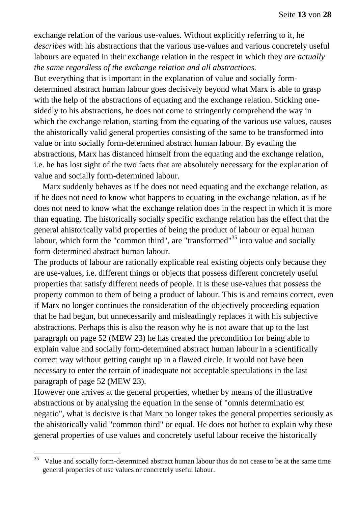exchange relation of the various use-values. Without explicitly referring to it, he *describes* with his abstractions that the various use-values and various concretely useful labours are equated in their exchange relation in the respect in which they *are actually the same regardless of the exchange relation and all abstractions.*

But everything that is important in the explanation of value and socially formdetermined abstract human labour goes decisively beyond what Marx is able to grasp with the help of the abstractions of equating and the exchange relation. Sticking onesidedly to his abstractions, he does not come to stringently comprehend the way in which the exchange relation, starting from the equating of the various use values, causes the ahistorically valid general properties consisting of the same to be transformed into value or into socially form-determined abstract human labour. By evading the abstractions, Marx has distanced himself from the equating and the exchange relation, i.e. he has lost sight of the two facts that are absolutely necessary for the explanation of value and socially form-determined labour.

Marx suddenly behaves as if he does not need equating and the exchange relation, as if he does not need to know what happens to equating in the exchange relation, as if he does not need to know what the exchange relation does in the respect in which it is more than equating. The historically socially specific exchange relation has the effect that the general ahistorically valid properties of being the product of labour or equal human labour, which form the "common third", are "transformed"<sup>35</sup> into value and socially form-determined abstract human labour.

The products of labour are rationally explicable real existing objects only because they are use-values, i.e. different things or objects that possess different concretely useful properties that satisfy different needs of people. It is these use-values that possess the property common to them of being a product of labour. This is and remains correct, even if Marx no longer continues the consideration of the objectively proceeding equation that he had begun, but unnecessarily and misleadingly replaces it with his subjective abstractions. Perhaps this is also the reason why he is not aware that up to the last paragraph on page 52 (MEW 23) he has created the precondition for being able to explain value and socially form-determined abstract human labour in a scientifically correct way without getting caught up in a flawed circle. It would not have been necessary to enter the terrain of inadequate not acceptable speculations in the last paragraph of page 52 (MEW 23).

However one arrives at the general properties, whether by means of the illustrative abstractions or by analysing the equation in the sense of "omnis determinatio est negatio", what is decisive is that Marx no longer takes the general properties seriously as the ahistorically valid "common third" or equal. He does not bother to explain why these general properties of use values and concretely useful labour receive the historically

<sup>&</sup>lt;sup>35</sup> Value and socially form-determined abstract human labour thus do not cease to be at the same time general properties of use values or concretely useful labour.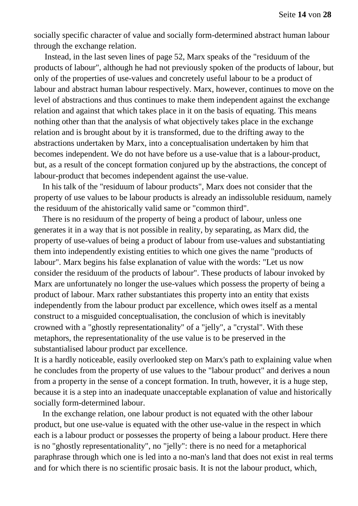socially specific character of value and socially form-determined abstract human labour through the exchange relation.

Instead, in the last seven lines of page 52, Marx speaks of the "residuum of the products of labour", although he had not previously spoken of the products of labour, but only of the properties of use-values and concretely useful labour to be a product of labour and abstract human labour respectively. Marx, however, continues to move on the level of abstractions and thus continues to make them independent against the exchange relation and against that which takes place in it on the basis of equating. This means nothing other than that the analysis of what objectively takes place in the exchange relation and is brought about by it is transformed, due to the drifting away to the abstractions undertaken by Marx, into a conceptualisation undertaken by him that becomes independent. We do not have before us a use-value that is a labour-product, but, as a result of the concept formation conjured up by the abstractions, the concept of labour-product that becomes independent against the use-value.

In his talk of the "residuum of labour products", Marx does not consider that the property of use values to be labour products is already an indissoluble residuum, namely the residuum of the ahistorically valid same or "common third".

There is no residuum of the property of being a product of labour, unless one generates it in a way that is not possible in reality, by separating, as Marx did, the property of use-values of being a product of labour from use-values and substantiating them into independently existing entities to which one gives the name "products of labour". Marx begins his false explanation of value with the words: "Let us now consider the residuum of the products of labour". These products of labour invoked by Marx are unfortunately no longer the use-values which possess the property of being a product of labour. Marx rather substantiates this property into an entity that exists independently from the labour product par excellence, which owes itself as a mental construct to a misguided conceptualisation, the conclusion of which is inevitably crowned with a "ghostly representationality" of a "jelly", a "crystal". With these metaphors, the representationality of the use value is to be preserved in the substantialised labour product par excellence.

It is a hardly noticeable, easily overlooked step on Marx's path to explaining value when he concludes from the property of use values to the "labour product" and derives a noun from a property in the sense of a concept formation. In truth, however, it is a huge step, because it is a step into an inadequate unacceptable explanation of value and historically socially form-determined labour.

In the exchange relation, one labour product is not equated with the other labour product, but one use-value is equated with the other use-value in the respect in which each is a labour product or possesses the property of being a labour product. Here there is no "ghostly representationality", no "jelly": there is no need for a metaphorical paraphrase through which one is led into a no-man's land that does not exist in real terms and for which there is no scientific prosaic basis. It is not the labour product, which,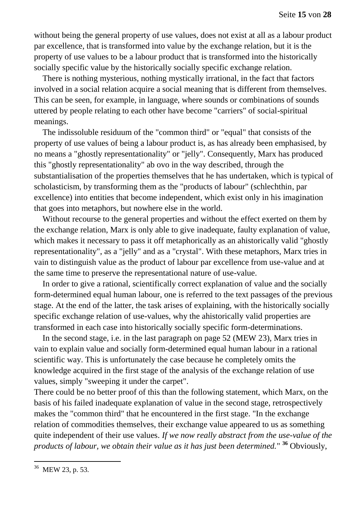without being the general property of use values, does not exist at all as a labour product par excellence, that is transformed into value by the exchange relation, but it is the property of use values to be a labour product that is transformed into the historically socially specific value by the historically socially specific exchange relation.

There is nothing mysterious, nothing mystically irrational, in the fact that factors involved in a social relation acquire a social meaning that is different from themselves. This can be seen, for example, in language, where sounds or combinations of sounds uttered by people relating to each other have become "carriers" of social-spiritual meanings.

The indissoluble residuum of the "common third" or "equal" that consists of the property of use values of being a labour product is, as has already been emphasised, by no means a "ghostly representationality" or "jelly". Consequently, Marx has produced this "ghostly representationality" ab ovo in the way described, through the substantialisation of the properties themselves that he has undertaken, which is typical of scholasticism, by transforming them as the "products of labour" (schlechthin, par excellence) into entities that become independent, which exist only in his imagination that goes into metaphors, but nowhere else in the world.

Without recourse to the general properties and without the effect exerted on them by the exchange relation, Marx is only able to give inadequate, faulty explanation of value, which makes it necessary to pass it off metaphorically as an ahistorically valid "ghostly representationality", as a "jelly" and as a "crystal". With these metaphors, Marx tries in vain to distinguish value as the product of labour par excellence from use-value and at the same time to preserve the representational nature of use-value.

In order to give a rational, scientifically correct explanation of value and the socially form-determined equal human labour, one is referred to the text passages of the previous stage. At the end of the latter, the task arises of explaining, with the historically socially specific exchange relation of use-values, why the ahistorically valid properties are transformed in each case into historically socially specific form-determinations.

In the second stage, i.e. in the last paragraph on page 52 (MEW 23), Marx tries in vain to explain value and socially form-determined equal human labour in a rational scientific way. This is unfortunately the case because he completely omits the knowledge acquired in the first stage of the analysis of the exchange relation of use values, simply "sweeping it under the carpet".

There could be no better proof of this than the following statement, which Marx, on the basis of his failed inadequate explanation of value in the second stage, retrospectively makes the "common third" that he encountered in the first stage. "In the exchange relation of commodities themselves, their exchange value appeared to us as something quite independent of their use values. *If we now really abstract from the use-value of the products of labour, we obtain their value as it has just been determined.*" **<sup>36</sup>** Obviously,

<sup>&</sup>lt;sup>36</sup> MEW 23, p. 53.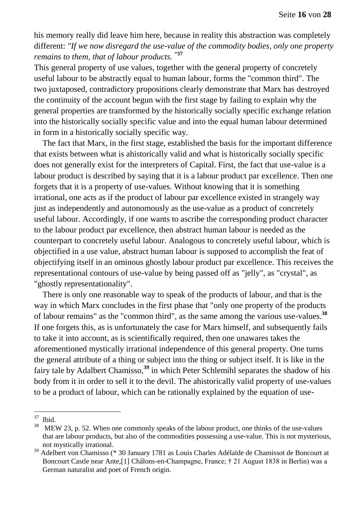his memory really did leave him here, because in reality this abstraction was completely different: *"If we now disregard the use-value of the commodity bodies, only one property remains to them, that of labour products.* **"37**

This general property of use values, together with the general property of concretely useful labour to be abstractly equal to human labour, forms the "common third". The two juxtaposed, contradictory propositions clearly demonstrate that Marx has destroyed the continuity of the account begun with the first stage by failing to explain why the general properties are transformed by the historically socially specific exchange relation into the historically socially specific value and into the equal human labour determined in form in a historically socially specific way.

The fact that Marx, in the first stage, established the basis for the important difference that exists between what is ahistorically valid and what is historically socially specific does not generally exist for the interpreters of Capital. First, the fact that use-value is a labour product is described by saying that it is a labour product par excellence. Then one forgets that it is a property of use-values. Without knowing that it is something irrational, one acts as if the product of labour par excellence existed in strangely way just as independently and autonomously as the use-value as a product of concretely useful labour. Accordingly, if one wants to ascribe the corresponding product character to the labour product par excellence, then abstract human labour is needed as the counterpart to concretely useful labour. Analogous to concretely useful labour, which is objectified in a use value, abstract human labour is supposed to accomplish the feat of objectifying itself in an ominous ghostly labour product par excellence. This receives the representational contours of use-value by being passed off as "jelly", as "crystal", as "ghostly representationality".

There is only one reasonable way to speak of the products of labour, and that is the way in which Marx concludes in the first phase that "only one property of the products of labour remains" as the "common third", as the same among the various use-values. **38** If one forgets this, as is unfortunately the case for Marx himself, and subsequently fails to take it into account, as is scientifically required, then one unawares takes the aforementioned mystically irrational independence of this general property. One turns the general attribute of a thing or subject into the thing or subject itself. It is like in the fairy tale by Adalbert Chamisso,**<sup>39</sup>** in which Peter Schlemihl separates the shadow of his body from it in order to sell it to the devil. The ahistorically valid property of use-values to be a product of labour, which can be rationally explained by the equation of use-

 $rac{37}{38}$  Ibid.

MEW 23, p. 52. When one commonly speaks of the labour product, one thinks of the use-values that are labour products, but also of the commodities possessing a use-value. This is not mysterious, not mystically irrational.

<sup>39</sup> Adelbert von Chamisso (\* 30 January 1781 as Louis Charles Adélaïde de Chamissot de Boncourt at Boncourt Castle near Ante,[1] Châlons-en-Champagne, France; † 21 August 1838 in Berlin) was a German naturalist and poet of French origin.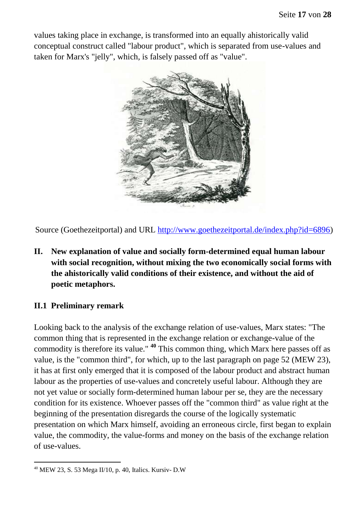values taking place in exchange, is transformed into an equally ahistorically valid conceptual construct called "labour product", which is separated from use-values and taken for Marx's "jelly", which, is falsely passed off as "value".



Source (Goethezeitportal) and URL [http://www.goethezeitportal.de/index.php?id=6896\)](http://www.goethezeitportal.de/index.php?id=6896)

**II. New explanation of value and socially form-determined equal human labour with social recognition, without mixing the two economically social forms with the ahistorically valid conditions of their existence, and without the aid of poetic metaphors.** 

#### **II.1 Preliminary remark**

Looking back to the analysis of the exchange relation of use-values, Marx states: "The common thing that is represented in the exchange relation or exchange-value of the commodity is therefore its value." **<sup>40</sup>** This common thing, which Marx here passes off as value, is the "common third", for which, up to the last paragraph on page 52 (MEW 23), it has at first only emerged that it is composed of the labour product and abstract human labour as the properties of use-values and concretely useful labour. Although they are not yet value or socially form-determined human labour per se, they are the necessary condition for its existence. Whoever passes off the "common third" as value right at the beginning of the presentation disregards the course of the logically systematic presentation on which Marx himself, avoiding an erroneous circle, first began to explain value, the commodity, the value-forms and money on the basis of the exchange relation of use-values.

 $\overline{a}$  $40$  MEW 23, S. 53 Mega II/10, p. 40, Italics. Kursiv- D.W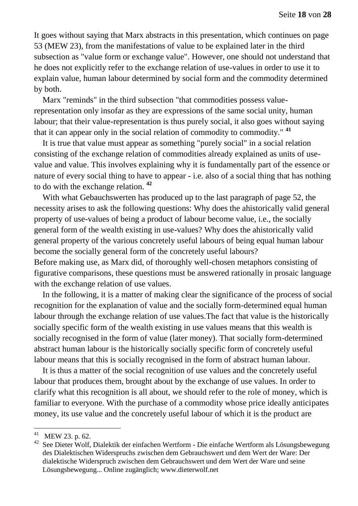It goes without saying that Marx abstracts in this presentation, which continues on page 53 (MEW 23), from the manifestations of value to be explained later in the third subsection as "value form or exchange value". However, one should not understand that he does not explicitly refer to the exchange relation of use-values in order to use it to explain value, human labour determined by social form and the commodity determined by both.

Marx "reminds" in the third subsection "that commodities possess valuerepresentation only insofar as they are expressions of the same social unity, human labour; that their value-representation is thus purely social, it also goes without saying that it can appear only in the social relation of commodity to commodity." **<sup>41</sup>**

It is true that value must appear as something "purely social" in a social relation consisting of the exchange relation of commodities already explained as units of usevalue and value. This involves explaining why it is fundamentally part of the essence or nature of every social thing to have to appear - i.e. also of a social thing that has nothing to do with the exchange relation. **<sup>42</sup>**

With what Gebauchswerten has produced up to the last paragraph of page 52, the necessity arises to ask the following questions: Why does the ahistorically valid general property of use-values of being a product of labour become value, i.e., the socially general form of the wealth existing in use-values? Why does the ahistorically valid general property of the various concretely useful labours of being equal human labour become the socially general form of the concretely useful labours?

Before making use, as Marx did, of thoroughly well-chosen metaphors consisting of figurative comparisons, these questions must be answered rationally in prosaic language with the exchange relation of use values.

In the following, it is a matter of making clear the significance of the process of social recognition for the explanation of value and the socially form-determined equal human labour through the exchange relation of use values.The fact that value is the historically socially specific form of the wealth existing in use values means that this wealth is socially recognised in the form of value (later money). That socially form-determined abstract human labour is the historically socially specific form of concretely useful labour means that this is socially recognised in the form of abstract human labour.

It is thus a matter of the social recognition of use values and the concretely useful labour that produces them, brought about by the exchange of use values. In order to clarify what this recognition is all about, we should refer to the role of money, which is familiar to everyone. With the purchase of a commodity whose price ideally anticipates money, its use value and the concretely useful labour of which it is the product are

<sup>41</sup> MEW 23. p. 62.

<sup>&</sup>lt;sup>42</sup> See Dieter Wolf, Dialektik der einfachen Wertform - Die einfache Wertform als Lösungsbewegung des Dialektischen Widerspruchs zwischen dem Gebrauchswert und dem Wert der Ware: Der dialektische Widerspruch zwischen dem Gebrauchswert und dem Wert der Ware und seine Lösungsbewegung... Online zugänglich; www.dieterwolf.net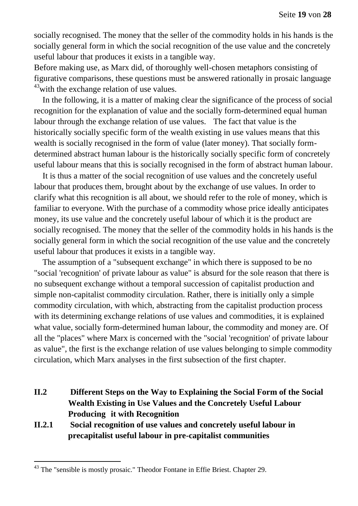socially recognised. The money that the seller of the commodity holds in his hands is the socially general form in which the social recognition of the use value and the concretely useful labour that produces it exists in a tangible way.

Before making use, as Marx did, of thoroughly well-chosen metaphors consisting of figurative comparisons, these questions must be answered rationally in prosaic language  $^{43}$  with the exchange relation of use values.

In the following, it is a matter of making clear the significance of the process of social recognition for the explanation of value and the socially form-determined equal human labour through the exchange relation of use values. The fact that value is the historically socially specific form of the wealth existing in use values means that this wealth is socially recognised in the form of value (later money). That socially formdetermined abstract human labour is the historically socially specific form of concretely useful labour means that this is socially recognised in the form of abstract human labour.

It is thus a matter of the social recognition of use values and the concretely useful labour that produces them, brought about by the exchange of use values. In order to clarify what this recognition is all about, we should refer to the role of money, which is familiar to everyone. With the purchase of a commodity whose price ideally anticipates money, its use value and the concretely useful labour of which it is the product are socially recognised. The money that the seller of the commodity holds in his hands is the socially general form in which the social recognition of the use value and the concretely useful labour that produces it exists in a tangible way.

The assumption of a "subsequent exchange" in which there is supposed to be no "social 'recognition' of private labour as value" is absurd for the sole reason that there is no subsequent exchange without a temporal succession of capitalist production and simple non-capitalist commodity circulation. Rather, there is initially only a simple commodity circulation, with which, abstracting from the capitalist production process with its determining exchange relations of use values and commodities, it is explained what value, socially form-determined human labour, the commodity and money are. Of all the "places" where Marx is concerned with the "social 'recognition' of private labour as value", the first is the exchange relation of use values belonging to simple commodity circulation, which Marx analyses in the first subsection of the first chapter.

- **II.2 Different Steps on the Way to Explaining the Social Form of the Social Wealth Existing in Use Values and the Concretely Useful Labour Producing it with Recognition**
- **II.2.1 Social recognition of use values and concretely useful labour in precapitalist useful labour in pre-capitalist communities**

 $43$  The "sensible is mostly prosaic." Theodor Fontane in Effie Briest. Chapter 29.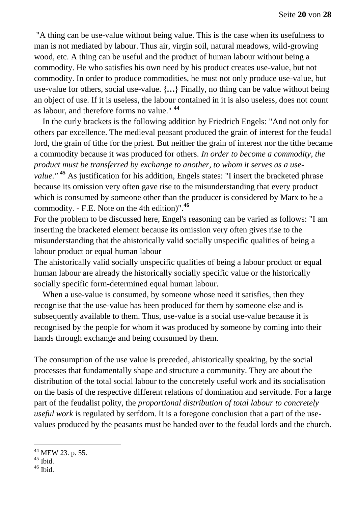"A thing can be use-value without being value. This is the case when its usefulness to man is not mediated by labour. Thus air, virgin soil, natural meadows, wild-growing wood, etc. A thing can be useful and the product of human labour without being a commodity. He who satisfies his own need by his product creates use-value, but not commodity. In order to produce commodities, he must not only produce use-value, but use-value for others, social use-value. **{…}** Finally, no thing can be value without being an object of use. If it is useless, the labour contained in it is also useless, does not count as labour, and therefore forms no value." **<sup>44</sup>**

In the curly brackets is the following addition by Friedrich Engels: "And not only for others par excellence. The medieval peasant produced the grain of interest for the feudal lord, the grain of tithe for the priest. But neither the grain of interest nor the tithe became a commodity because it was produced for others. *In order to become a commodity, the product must be transferred by exchange to another, to whom it serves as a usevalue."* **<sup>45</sup>** As justification for his addition, Engels states: "I insert the bracketed phrase because its omission very often gave rise to the misunderstanding that every product which is consumed by someone other than the producer is considered by Marx to be a commodity. - F.E. Note on the 4th edition)".**<sup>46</sup>**

For the problem to be discussed here, Engel's reasoning can be varied as follows: "I am inserting the bracketed element because its omission very often gives rise to the misunderstanding that the ahistorically valid socially unspecific qualities of being a labour product or equal human labour

The ahistorically valid socially unspecific qualities of being a labour product or equal human labour are already the historically socially specific value or the historically socially specific form-determined equal human labour.

When a use-value is consumed, by someone whose need it satisfies, then they recognise that the use-value has been produced for them by someone else and is subsequently available to them. Thus, use-value is a social use-value because it is recognised by the people for whom it was produced by someone by coming into their hands through exchange and being consumed by them.

The consumption of the use value is preceded, ahistorically speaking, by the social processes that fundamentally shape and structure a community. They are about the distribution of the total social labour to the concretely useful work and its socialisation on the basis of the respective different relations of domination and servitude. For a large part of the feudalist polity, the *proportional distribution of total labour to concretely useful work* is regulated by serfdom. It is a foregone conclusion that a part of the usevalues produced by the peasants must be handed over to the feudal lords and the church.

<sup>&</sup>lt;sup>44</sup> MEW 23. p. 55.

 $45$  Ibid.

 $46$  Ibid.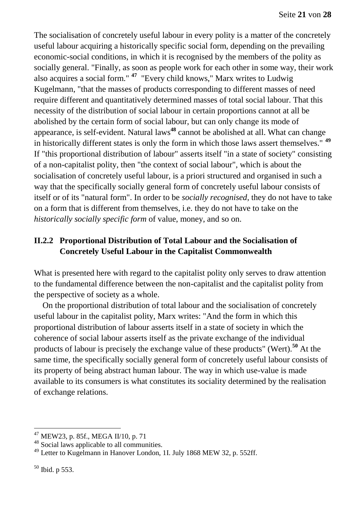The socialisation of concretely useful labour in every polity is a matter of the concretely useful labour acquiring a historically specific social form, depending on the prevailing economic-social conditions, in which it is recognised by the members of the polity as socially general. "Finally, as soon as people work for each other in some way, their work also acquires a social form." **<sup>47</sup>** "Every child knows," Marx writes to Ludwig Kugelmann, "that the masses of products corresponding to different masses of need require different and quantitatively determined masses of total social labour. That this necessity of the distribution of social labour in certain proportions cannot at all be abolished by the certain form of social labour, but can only change its mode of appearance, is self-evident. Natural laws**<sup>48</sup>** cannot be abolished at all. What can change in historically different states is only the form in which those laws assert themselves." **<sup>49</sup>** If "this proportional distribution of labour" asserts itself "in a state of society" consisting of a non-capitalist polity, then "the context of social labour", which is about the socialisation of concretely useful labour, is a priori structured and organised in such a way that the specifically socially general form of concretely useful labour consists of itself or of its "natural form". In order to be *socially recognised*, they do not have to take on a form that is different from themselves, i.e. they do not have to take on the *historically socially specific form* of value, money, and so on.

# **II.2.2 Proportional Distribution of Total Labour and the Socialisation of Concretely Useful Labour in the Capitalist Commonwealth**

What is presented here with regard to the capitalist polity only serves to draw attention to the fundamental difference between the non-capitalist and the capitalist polity from the perspective of society as a whole.

On the proportional distribution of total labour and the socialisation of concretely useful labour in the capitalist polity, Marx writes: "And the form in which this proportional distribution of labour asserts itself in a state of society in which the coherence of social labour asserts itself as the private exchange of the individual products of labour is precisely the exchange value of these products" (Wert).**<sup>50</sup>** At the same time, the specifically socially general form of concretely useful labour consists of its property of being abstract human labour. The way in which use-value is made available to its consumers is what constitutes its sociality determined by the realisation of exchange relations.

 $^{47}$  MEW23, p. 85f., MEGA II/10, p. 71

<sup>&</sup>lt;sup>48</sup> Social laws applicable to all communities.

<sup>49</sup> Letter to Kugelmann in Hanover London, 1I. July 1868 MEW 32, p. 552ff.

<sup>50</sup> Ibid. p 553.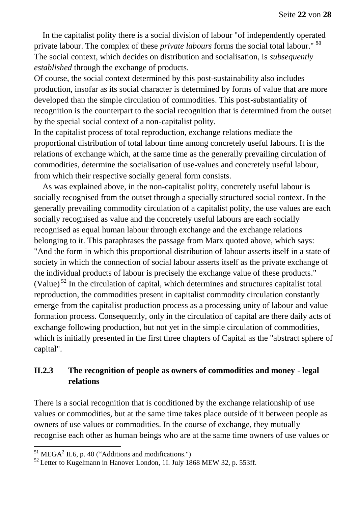In the capitalist polity there is a social division of labour "of independently operated private labour. The complex of these *private labours* forms the social total labour." **<sup>51</sup>** The social context, which decides on distribution and socialisation, is *subsequently established* through the exchange of products.

Of course, the social context determined by this post-sustainability also includes production, insofar as its social character is determined by forms of value that are more developed than the simple circulation of commodities. This post-substantiality of recognition is the counterpart to the social recognition that is determined from the outset by the special social context of a non-capitalist polity.

In the capitalist process of total reproduction, exchange relations mediate the proportional distribution of total labour time among concretely useful labours. It is the relations of exchange which, at the same time as the generally prevailing circulation of commodities, determine the socialisation of use-values and concretely useful labour, from which their respective socially general form consists.

As was explained above, in the non-capitalist polity, concretely useful labour is socially recognised from the outset through a specially structured social context. In the generally prevailing commodity circulation of a capitalist polity, the use values are each socially recognised as value and the concretely useful labours are each socially recognised as equal human labour through exchange and the exchange relations belonging to it. This paraphrases the passage from Marx quoted above, which says: "And the form in which this proportional distribution of labour asserts itself in a state of society in which the connection of social labour asserts itself as the private exchange of the individual products of labour is precisely the exchange value of these products." (Value) <sup>52</sup> In the circulation of capital, which determines and structures capitalist total reproduction, the commodities present in capitalist commodity circulation constantly emerge from the capitalist production process as a processing unity of labour and value formation process. Consequently, only in the circulation of capital are there daily acts of exchange following production, but not yet in the simple circulation of commodities, which is initially presented in the first three chapters of Capital as the "abstract sphere of capital".

#### **II.2.3 The recognition of people as owners of commodities and money - legal relations**

There is a social recognition that is conditioned by the exchange relationship of use values or commodities, but at the same time takes place outside of it between people as owners of use values or commodities. In the course of exchange, they mutually recognise each other as human beings who are at the same time owners of use values or

 $<sup>51</sup> \text{MEGA}^2$  II.6, p. 40 ("Additions and modifications.")</sup>

<sup>&</sup>lt;sup>52</sup> Letter to Kugelmann in Hanover London, 1I. July 1868 MEW 32, p. 553ff.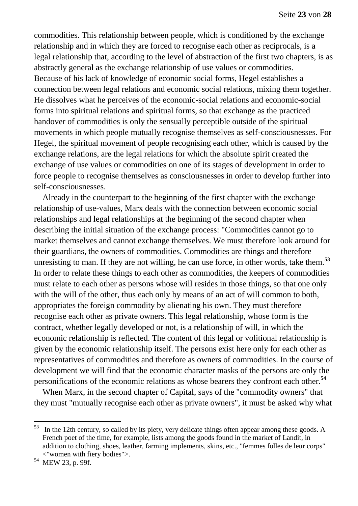commodities. This relationship between people, which is conditioned by the exchange relationship and in which they are forced to recognise each other as reciprocals, is a legal relationship that, according to the level of abstraction of the first two chapters, is as abstractly general as the exchange relationship of use values or commodities. Because of his lack of knowledge of economic social forms, Hegel establishes a connection between legal relations and economic social relations, mixing them together. He dissolves what he perceives of the economic-social relations and economic-social forms into spiritual relations and spiritual forms, so that exchange as the practiced handover of commodities is only the sensually perceptible outside of the spiritual movements in which people mutually recognise themselves as self-consciousnesses. For Hegel, the spiritual movement of people recognising each other, which is caused by the exchange relations, are the legal relations for which the absolute spirit created the exchange of use values or commodities on one of its stages of development in order to force people to recognise themselves as consciousnesses in order to develop further into self-consciousnesses.

Already in the counterpart to the beginning of the first chapter with the exchange relationship of use-values, Marx deals with the connection between economic social relationships and legal relationships at the beginning of the second chapter when describing the initial situation of the exchange process: "Commodities cannot go to market themselves and cannot exchange themselves. We must therefore look around for their guardians, the owners of commodities. Commodities are things and therefore unresisting to man. If they are not willing, he can use force, in other words, take them.**<sup>53</sup>** In order to relate these things to each other as commodities, the keepers of commodities must relate to each other as persons whose will resides in those things, so that one only with the will of the other, thus each only by means of an act of will common to both, appropriates the foreign commodity by alienating his own. They must therefore recognise each other as private owners. This legal relationship, whose form is the contract, whether legally developed or not, is a relationship of will, in which the economic relationship is reflected. The content of this legal or volitional relationship is given by the economic relationship itself. The persons exist here only for each other as representatives of commodities and therefore as owners of commodities. In the course of development we will find that the economic character masks of the persons are only the personifications of the economic relations as whose bearers they confront each other.**<sup>54</sup>** 

When Marx, in the second chapter of Capital, says of the "commodity owners" that they must "mutually recognise each other as private owners", it must be asked why what

 $53$  In the 12th century, so called by its piety, very delicate things often appear among these goods. A French poet of the time, for example, lists among the goods found in the market of Landit, in addition to clothing, shoes, leather, farming implements, skins, etc., "femmes folles de leur corps" <"women with fiery bodies">.

<sup>54</sup> MEW 23, p. 99f.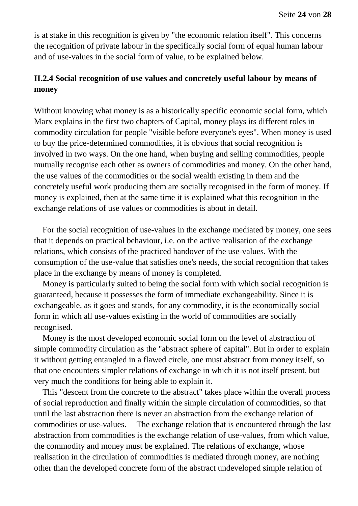is at stake in this recognition is given by "the economic relation itself". This concerns the recognition of private labour in the specifically social form of equal human labour and of use-values in the social form of value, to be explained below.

## **II.2.4 Social recognition of use values and concretely useful labour by means of money**

Without knowing what money is as a historically specific economic social form, which Marx explains in the first two chapters of Capital, money plays its different roles in commodity circulation for people "visible before everyone's eyes". When money is used to buy the price-determined commodities, it is obvious that social recognition is involved in two ways. On the one hand, when buying and selling commodities, people mutually recognise each other as owners of commodities and money. On the other hand, the use values of the commodities or the social wealth existing in them and the concretely useful work producing them are socially recognised in the form of money. If money is explained, then at the same time it is explained what this recognition in the exchange relations of use values or commodities is about in detail.

For the social recognition of use-values in the exchange mediated by money, one sees that it depends on practical behaviour, i.e. on the active realisation of the exchange relations, which consists of the practiced handover of the use-values. With the consumption of the use-value that satisfies one's needs, the social recognition that takes place in the exchange by means of money is completed.

Money is particularly suited to being the social form with which social recognition is guaranteed, because it possesses the form of immediate exchangeability. Since it is exchangeable, as it goes and stands, for any commodity, it is the economically social form in which all use-values existing in the world of commodities are socially recognised.

Money is the most developed economic social form on the level of abstraction of simple commodity circulation as the "abstract sphere of capital". But in order to explain it without getting entangled in a flawed circle, one must abstract from money itself, so that one encounters simpler relations of exchange in which it is not itself present, but very much the conditions for being able to explain it.

This "descent from the concrete to the abstract" takes place within the overall process of social reproduction and finally within the simple circulation of commodities, so that until the last abstraction there is never an abstraction from the exchange relation of commodities or use-values. The exchange relation that is encountered through the last abstraction from commodities is the exchange relation of use-values, from which value, the commodity and money must be explained. The relations of exchange, whose realisation in the circulation of commodities is mediated through money, are nothing other than the developed concrete form of the abstract undeveloped simple relation of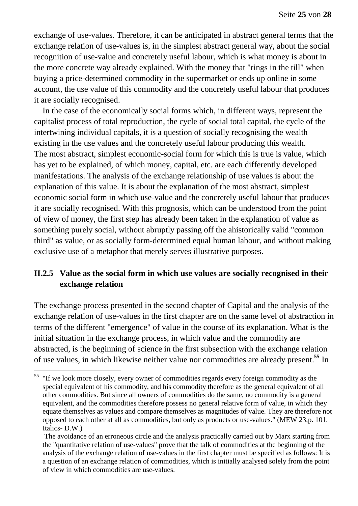exchange of use-values. Therefore, it can be anticipated in abstract general terms that the exchange relation of use-values is, in the simplest abstract general way, about the social recognition of use-value and concretely useful labour, which is what money is about in the more concrete way already explained. With the money that "rings in the till" when buying a price-determined commodity in the supermarket or ends up online in some account, the use value of this commodity and the concretely useful labour that produces it are socially recognised.

In the case of the economically social forms which, in different ways, represent the capitalist process of total reproduction, the cycle of social total capital, the cycle of the intertwining individual capitals, it is a question of socially recognising the wealth existing in the use values and the concretely useful labour producing this wealth. The most abstract, simplest economic-social form for which this is true is value, which has yet to be explained, of which money, capital, etc. are each differently developed manifestations. The analysis of the exchange relationship of use values is about the explanation of this value. It is about the explanation of the most abstract, simplest economic social form in which use-value and the concretely useful labour that produces it are socially recognised. With this prognosis, which can be understood from the point of view of money, the first step has already been taken in the explanation of value as something purely social, without abruptly passing off the ahistorically valid "common third" as value, or as socially form-determined equal human labour, and without making exclusive use of a metaphor that merely serves illustrative purposes.

## **II.2.5 Value as the social form in which use values are socially recognised in their exchange relation**

The exchange process presented in the second chapter of Capital and the analysis of the exchange relation of use-values in the first chapter are on the same level of abstraction in terms of the different "emergence" of value in the course of its explanation. What is the initial situation in the exchange process, in which value and the commodity are abstracted, is the beginning of science in the first subsection with the exchange relation of use values, in which likewise neither value nor commodities are already present.**<sup>55</sup>** In

 $<sup>55</sup>$  "If we look more closely, every owner of commodities regards every foreign commodity as the</sup> special equivalent of his commodity, and his commodity therefore as the general equivalent of all other commodities. But since all owners of commodities do the same, no commodity is a general equivalent, and the commodities therefore possess no general relative form of value, in which they equate themselves as values and compare themselves as magnitudes of value. They are therefore not opposed to each other at all as commodities, but only as products or use-values." (MEW 23,p. 101. Italics- D.W.)

The avoidance of an erroneous circle and the analysis practically carried out by Marx starting from the "quantitative relation of use-values" prove that the talk of commodities at the beginning of the analysis of the exchange relation of use-values in the first chapter must be specified as follows: It is a question of an exchange relation of commodities, which is initially analysed solely from the point of view in which commodities are use-values.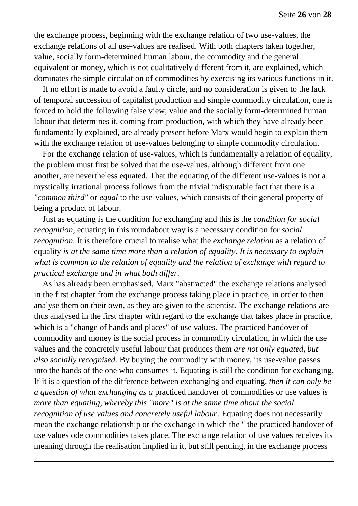the exchange process, beginning with the exchange relation of two use-values, the exchange relations of all use-values are realised. With both chapters taken together, value, socially form-determined human labour, the commodity and the general equivalent or money, which is not qualitatively different from it, are explained, which dominates the simple circulation of commodities by exercising its various functions in it.

If no effort is made to avoid a faulty circle, and no consideration is given to the lack of temporal succession of capitalist production and simple commodity circulation, one is forced to hold the following false view; value and the socially form-determined human labour that determines it, coming from production, with which they have already been fundamentally explained, are already present before Marx would begin to explain them with the exchange relation of use-values belonging to simple commodity circulation.

For the exchange relation of use-values, which is fundamentally a relation of equality, the problem must first be solved that the use-values, although different from one another, are nevertheless equated. That the equating of the different use-values is not a mystically irrational process follows from the trivial indisputable fact that there is a *"common third"* or *equal* to the use-values, which consists of their general property of being a product of labour.

Just as equating is the condition for exchanging and this is the *condition for social recognition,* equating in this roundabout way is a necessary condition for *social recognition.* It is therefore crucial to realise what the *exchange relation* as a relation of equality *is at the same time more than a relation of equality. It is necessary to explain what is common to the relation of equality and the relation of exchange with regard to practical exchange and in what both differ.* 

As has already been emphasised, Marx "abstracted" the exchange relations analysed in the first chapter from the exchange process taking place in practice, in order to then analyse them on their own, as they are given to the scientist. The exchange relations are thus analysed in the first chapter with regard to the exchange that takes place in practice, which is a "change of hands and places" of use values. The practiced handover of commodity and money is the social process in commodity circulation, in which the use values and the concretely useful labour that produces them *are not only equated, but also socially recognised.* By buying the commodity with money, its use-value passes into the hands of the one who consumes it. Equating is still the condition for exchanging. If it is a question of the difference between exchanging and equating, *then it can only be a question of what exchanging as a* practiced handover of commodities or use values *is more than equating, whereby this "more" is at the same time about the social recognition of use values and concretely useful labour*. Equating does not necessarily mean the exchange relationship or the exchange in which the " the practiced handover of use values ode commodities takes place. The exchange relation of use values receives its meaning through the realisation implied in it, but still pending, in the exchange process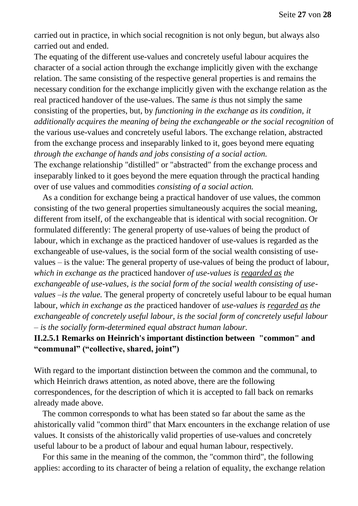carried out in practice, in which social recognition is not only begun, but always also carried out and ended.

The equating of the different use-values and concretely useful labour acquires the character of a social action through the exchange implicitly given with the exchange relation. The same consisting of the respective general properties is and remains the necessary condition for the exchange implicitly given with the exchange relation as the real practiced handover of the use-values. The same *is* thus not simply the same consisting of the properties, but, by *functioning in the exchange as its condition, it additionally acquires the meaning of being the exchangeable or the social recognition* of the various use-values and concretely useful labors. The exchange relation, abstracted from the exchange process and inseparably linked to it, goes beyond mere equating *through the exchange of hands and jobs consisting of a social action.*

The exchange relationship "distilled" or "abstracted" from the exchange process and inseparably linked to it goes beyond the mere equation through the practical handing over of use values and commodities *consisting of a social action.*

As a condition for exchange being a practical handover of use values, the common consisting of the two general properties simultaneously acquires the social meaning, different from itself, of the exchangeable that is identical with social recognition. Or formulated differently: The general property of use-values of being the product of labour, which in exchange as the practiced handover of use-values is regarded as the exchangeable of use-values, is the social form of the social wealth consisting of usevalues – is the value: The general property of use-values of being the product of labour, *which in exchange as the* practiced handover *of use-values is regarded as the exchangeable of use-values, is the social form of the social wealth consisting of usevalues –is the value.* The general property of concretely useful labour to be equal human labour, *which in exchange as the* practiced handover of *use-values is regarded as the exchangeable of concretely useful labour, is the social form of concretely useful labour – is the socially form-determined equal abstract human labour.*

#### **II.2.5.1 Remarks on Heinrich's important distinction between "common" and "communal" ("collective, shared, joint")**

With regard to the important distinction between the common and the communal, to which Heinrich draws attention, as noted above, there are the following correspondences, for the description of which it is accepted to fall back on remarks already made above.

The common corresponds to what has been stated so far about the same as the ahistorically valid "common third" that Marx encounters in the exchange relation of use values. It consists of the ahistorically valid properties of use-values and concretely useful labour to be a product of labour and equal human labour, respectively.

For this same in the meaning of the common, the "common third", the following applies: according to its character of being a relation of equality, the exchange relation